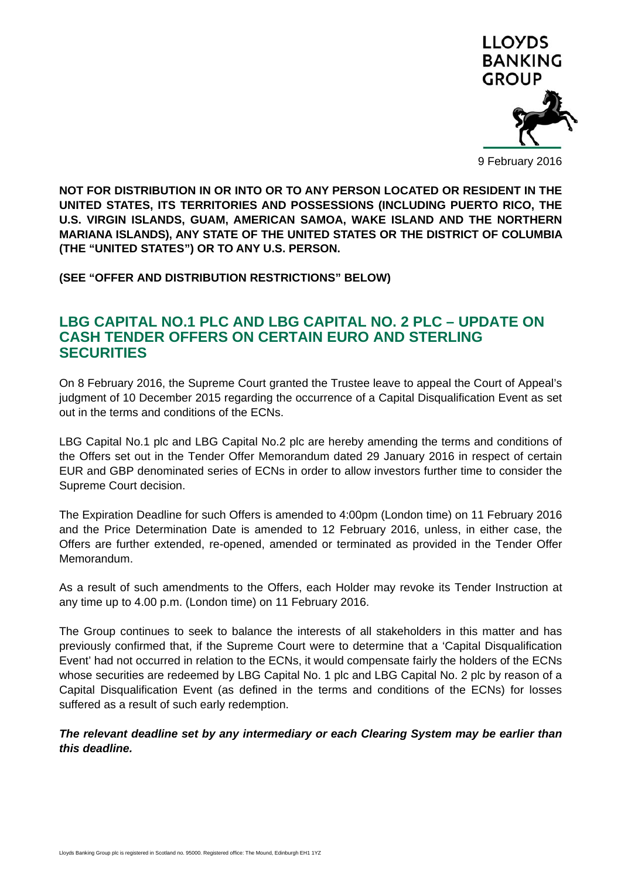

**NOT FOR DISTRIBUTION IN OR INTO OR TO ANY PERSON LOCATED OR RESIDENT IN THE UNITED STATES, ITS TERRITORIES AND POSSESSIONS (INCLUDING PUERTO RICO, THE U.S. VIRGIN ISLANDS, GUAM, AMERICAN SAMOA, WAKE ISLAND AND THE NORTHERN MARIANA ISLANDS), ANY STATE OF THE UNITED STATES OR THE DISTRICT OF COLUMBIA (THE "UNITED STATES") OR TO ANY U.S. PERSON.** 

**(SEE "OFFER AND DISTRIBUTION RESTRICTIONS" BELOW)** 

# **LBG CAPITAL NO.1 PLC AND LBG CAPITAL NO. 2 PLC – UPDATE ON CASH TENDER OFFERS ON CERTAIN EURO AND STERLING SECURITIES**

On 8 February 2016, the Supreme Court granted the Trustee leave to appeal the Court of Appeal's judgment of 10 December 2015 regarding the occurrence of a Capital Disqualification Event as set out in the terms and conditions of the ECNs.

LBG Capital No.1 plc and LBG Capital No.2 plc are hereby amending the terms and conditions of the Offers set out in the Tender Offer Memorandum dated 29 January 2016 in respect of certain EUR and GBP denominated series of ECNs in order to allow investors further time to consider the Supreme Court decision.

The Expiration Deadline for such Offers is amended to 4:00pm (London time) on 11 February 2016 and the Price Determination Date is amended to 12 February 2016, unless, in either case, the Offers are further extended, re-opened, amended or terminated as provided in the Tender Offer Memorandum.

As a result of such amendments to the Offers, each Holder may revoke its Tender Instruction at any time up to 4.00 p.m. (London time) on 11 February 2016.

The Group continues to seek to balance the interests of all stakeholders in this matter and has previously confirmed that, if the Supreme Court were to determine that a 'Capital Disqualification Event' had not occurred in relation to the ECNs, it would compensate fairly the holders of the ECNs whose securities are redeemed by LBG Capital No. 1 plc and LBG Capital No. 2 plc by reason of a Capital Disqualification Event (as defined in the terms and conditions of the ECNs) for losses suffered as a result of such early redemption.

*The relevant deadline set by any intermediary or each Clearing System may be earlier than this deadline.*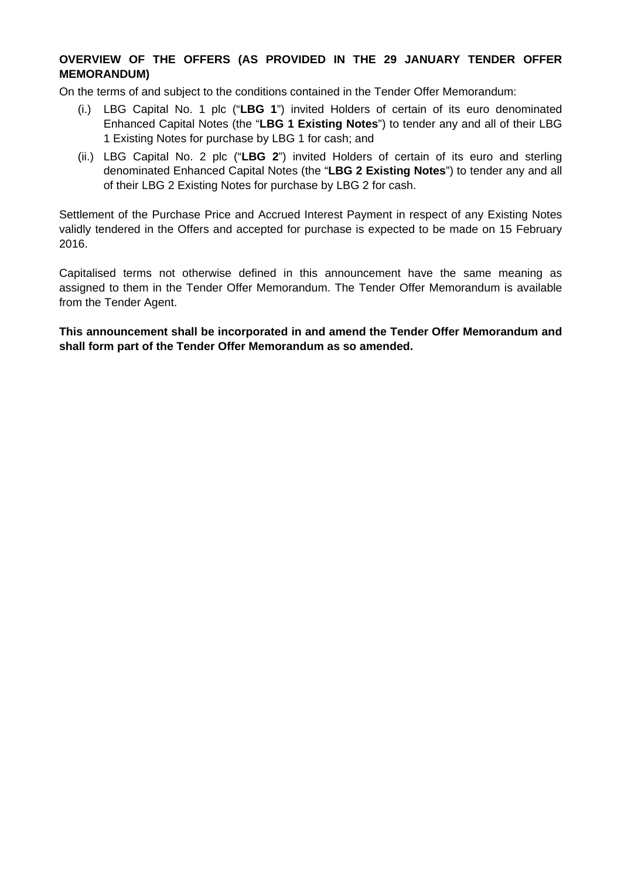# **OVERVIEW OF THE OFFERS (AS PROVIDED IN THE 29 JANUARY TENDER OFFER MEMORANDUM)**

On the terms of and subject to the conditions contained in the Tender Offer Memorandum:

- (i.) LBG Capital No. 1 plc ("**LBG 1**") invited Holders of certain of its euro denominated Enhanced Capital Notes (the "**LBG 1 Existing Notes**") to tender any and all of their LBG 1 Existing Notes for purchase by LBG 1 for cash; and
- (ii.) LBG Capital No. 2 plc ("**LBG 2**") invited Holders of certain of its euro and sterling denominated Enhanced Capital Notes (the "**LBG 2 Existing Notes**") to tender any and all of their LBG 2 Existing Notes for purchase by LBG 2 for cash.

Settlement of the Purchase Price and Accrued Interest Payment in respect of any Existing Notes validly tendered in the Offers and accepted for purchase is expected to be made on 15 February 2016.

Capitalised terms not otherwise defined in this announcement have the same meaning as assigned to them in the Tender Offer Memorandum. The Tender Offer Memorandum is available from the Tender Agent.

**This announcement shall be incorporated in and amend the Tender Offer Memorandum and shall form part of the Tender Offer Memorandum as so amended.**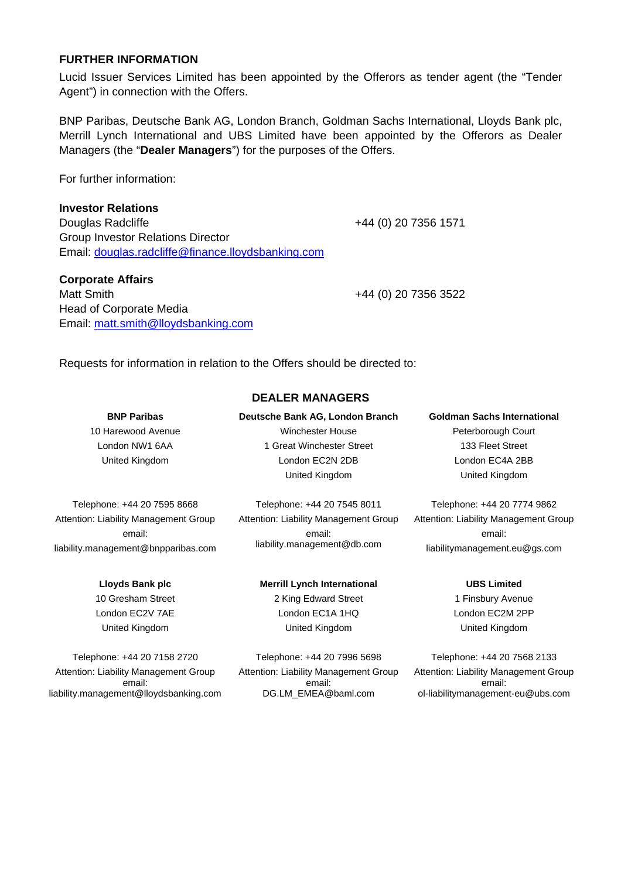#### **FURTHER INFORMATION**

Lucid Issuer Services Limited has been appointed by the Offerors as tender agent (the "Tender Agent") in connection with the Offers.

BNP Paribas, Deutsche Bank AG, London Branch, Goldman Sachs International, Lloyds Bank plc, Merrill Lynch International and UBS Limited have been appointed by the Offerors as Dealer Managers (the "**Dealer Managers**") for the purposes of the Offers.

For further information:

#### **Investor Relations**

Douglas Radcliffe +44 (0) 20 7356 1571 Group Investor Relations Director Email: douglas.radcliffe@finance.lloydsbanking.com

# **Corporate Affairs**  Matt Smith +44 (0) 20 7356 3522 Head of Corporate Media Email: matt.smith@lloydsbanking.com

Requests for information in relation to the Offers should be directed to:

# **BNP Paribas**

10 Harewood Avenue London NW1 6AA United Kingdom

Winchester House 1 Great Winchester Street London EC2N 2DB United Kingdom

**Deutsche Bank AG, London Branch** 

**DEALER MANAGERS** 

Telephone: +44 20 7595 8668 Attention: Liability Management Group email: liability.management@bnpparibas.com

Telephone: +44 20 7545 8011 Attention: Liability Management Group email: liability.management@db.com

Telephone: +44 20 7774 9862 Attention: Liability Management Group email:

liabilitymanagement.eu@gs.com

**Goldman Sachs International**  Peterborough Court 133 Fleet Street London EC4A 2BB United Kingdom

**Lloyds Bank plc**  10 Gresham Street

London EC2V 7AE United Kingdom

Telephone: +44 20 7158 2720 Attention: Liability Management Group email: liability.management@lloydsbanking.com

# **Merrill Lynch International**

2 King Edward Street London EC1A 1HQ United Kingdom

Telephone: +44 20 7996 5698 Attention: Liability Management Group email: DG.LM\_EMEA@baml.com

**UBS Limited** 

1 Finsbury Avenue London EC2M 2PP United Kingdom

Telephone: +44 20 7568 2133 Attention: Liability Management Group email: ol-liabilitymanagement-eu@ubs.com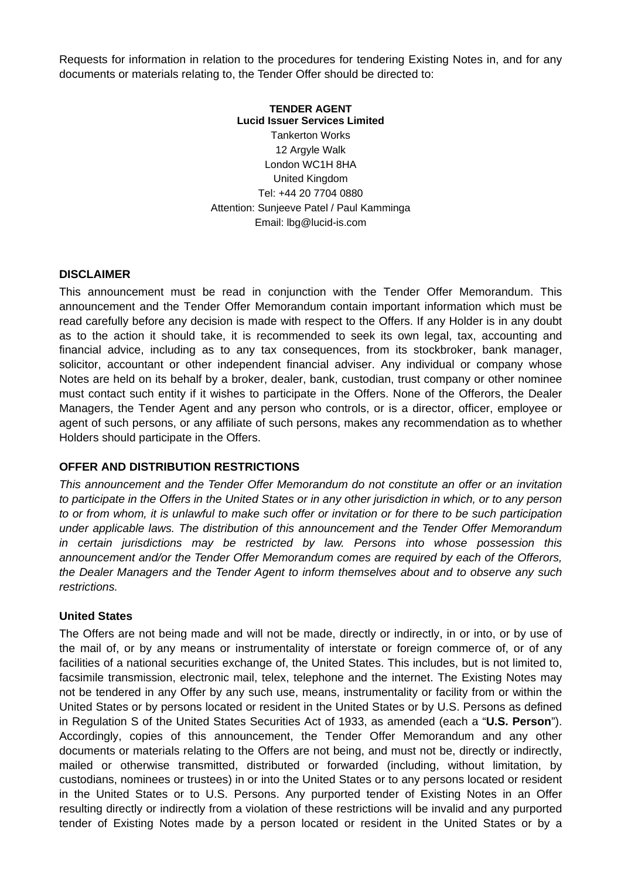Requests for information in relation to the procedures for tendering Existing Notes in, and for any documents or materials relating to, the Tender Offer should be directed to:

#### **TENDER AGENT Lucid Issuer Services Limited**

Tankerton Works 12 Argyle Walk London WC1H 8HA United Kingdom Tel: +44 20 7704 0880 Attention: Sunjeeve Patel / Paul Kamminga Email: lbg@lucid-is.com

#### **DISCLAIMER**

This announcement must be read in conjunction with the Tender Offer Memorandum. This announcement and the Tender Offer Memorandum contain important information which must be read carefully before any decision is made with respect to the Offers. If any Holder is in any doubt as to the action it should take, it is recommended to seek its own legal, tax, accounting and financial advice, including as to any tax consequences, from its stockbroker, bank manager, solicitor, accountant or other independent financial adviser. Any individual or company whose Notes are held on its behalf by a broker, dealer, bank, custodian, trust company or other nominee must contact such entity if it wishes to participate in the Offers. None of the Offerors, the Dealer Managers, the Tender Agent and any person who controls, or is a director, officer, employee or agent of such persons, or any affiliate of such persons, makes any recommendation as to whether Holders should participate in the Offers.

#### **OFFER AND DISTRIBUTION RESTRICTIONS**

*This announcement and the Tender Offer Memorandum do not constitute an offer or an invitation to participate in the Offers in the United States or in any other jurisdiction in which, or to any person to or from whom, it is unlawful to make such offer or invitation or for there to be such participation under applicable laws. The distribution of this announcement and the Tender Offer Memorandum in certain jurisdictions may be restricted by law. Persons into whose possession this announcement and/or the Tender Offer Memorandum comes are required by each of the Offerors, the Dealer Managers and the Tender Agent to inform themselves about and to observe any such restrictions.* 

#### **United States**

The Offers are not being made and will not be made, directly or indirectly, in or into, or by use of the mail of, or by any means or instrumentality of interstate or foreign commerce of, or of any facilities of a national securities exchange of, the United States. This includes, but is not limited to, facsimile transmission, electronic mail, telex, telephone and the internet. The Existing Notes may not be tendered in any Offer by any such use, means, instrumentality or facility from or within the United States or by persons located or resident in the United States or by U.S. Persons as defined in Regulation S of the United States Securities Act of 1933, as amended (each a "**U.S. Person**"). Accordingly, copies of this announcement, the Tender Offer Memorandum and any other documents or materials relating to the Offers are not being, and must not be, directly or indirectly, mailed or otherwise transmitted, distributed or forwarded (including, without limitation, by custodians, nominees or trustees) in or into the United States or to any persons located or resident in the United States or to U.S. Persons. Any purported tender of Existing Notes in an Offer resulting directly or indirectly from a violation of these restrictions will be invalid and any purported tender of Existing Notes made by a person located or resident in the United States or by a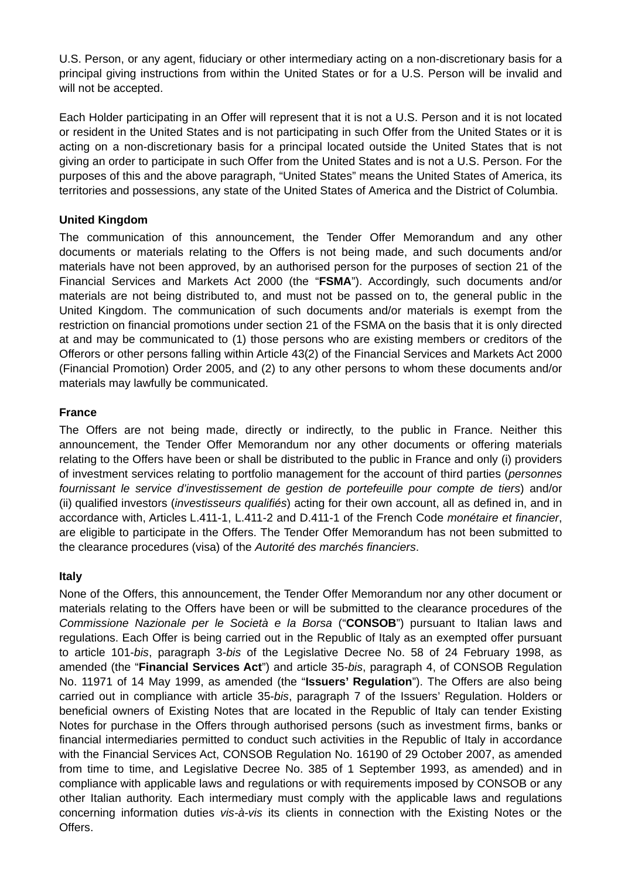U.S. Person, or any agent, fiduciary or other intermediary acting on a non-discretionary basis for a principal giving instructions from within the United States or for a U.S. Person will be invalid and will not be accepted.

Each Holder participating in an Offer will represent that it is not a U.S. Person and it is not located or resident in the United States and is not participating in such Offer from the United States or it is acting on a non-discretionary basis for a principal located outside the United States that is not giving an order to participate in such Offer from the United States and is not a U.S. Person. For the purposes of this and the above paragraph, "United States" means the United States of America, its territories and possessions, any state of the United States of America and the District of Columbia.

## **United Kingdom**

The communication of this announcement, the Tender Offer Memorandum and any other documents or materials relating to the Offers is not being made, and such documents and/or materials have not been approved, by an authorised person for the purposes of section 21 of the Financial Services and Markets Act 2000 (the "**FSMA**"). Accordingly, such documents and/or materials are not being distributed to, and must not be passed on to, the general public in the United Kingdom. The communication of such documents and/or materials is exempt from the restriction on financial promotions under section 21 of the FSMA on the basis that it is only directed at and may be communicated to (1) those persons who are existing members or creditors of the Offerors or other persons falling within Article 43(2) of the Financial Services and Markets Act 2000 (Financial Promotion) Order 2005, and (2) to any other persons to whom these documents and/or materials may lawfully be communicated.

## **France**

The Offers are not being made, directly or indirectly, to the public in France. Neither this announcement, the Tender Offer Memorandum nor any other documents or offering materials relating to the Offers have been or shall be distributed to the public in France and only (i) providers of investment services relating to portfolio management for the account of third parties (*personnes fournissant le service d'investissement de gestion de portefeuille pour compte de tiers*) and/or (ii) qualified investors (*investisseurs qualifiés*) acting for their own account, all as defined in, and in accordance with, Articles L.411-1, L.411-2 and D.411-1 of the French Code *monétaire et financier*, are eligible to participate in the Offers. The Tender Offer Memorandum has not been submitted to the clearance procedures (visa) of the *Autorité des marchés financiers*.

#### **Italy**

None of the Offers, this announcement, the Tender Offer Memorandum nor any other document or materials relating to the Offers have been or will be submitted to the clearance procedures of the *Commissione Nazionale per le Società e la Borsa* ("**CONSOB**") pursuant to Italian laws and regulations. Each Offer is being carried out in the Republic of Italy as an exempted offer pursuant to article 101-*bis*, paragraph 3-*bis* of the Legislative Decree No. 58 of 24 February 1998, as amended (the "**Financial Services Act**") and article 35-*bis*, paragraph 4, of CONSOB Regulation No. 11971 of 14 May 1999, as amended (the "**Issuers' Regulation**"). The Offers are also being carried out in compliance with article 35-*bis*, paragraph 7 of the Issuers' Regulation. Holders or beneficial owners of Existing Notes that are located in the Republic of Italy can tender Existing Notes for purchase in the Offers through authorised persons (such as investment firms, banks or financial intermediaries permitted to conduct such activities in the Republic of Italy in accordance with the Financial Services Act, CONSOB Regulation No. 16190 of 29 October 2007, as amended from time to time, and Legislative Decree No. 385 of 1 September 1993, as amended) and in compliance with applicable laws and regulations or with requirements imposed by CONSOB or any other Italian authority. Each intermediary must comply with the applicable laws and regulations concerning information duties *vis-à-vis* its clients in connection with the Existing Notes or the Offers.